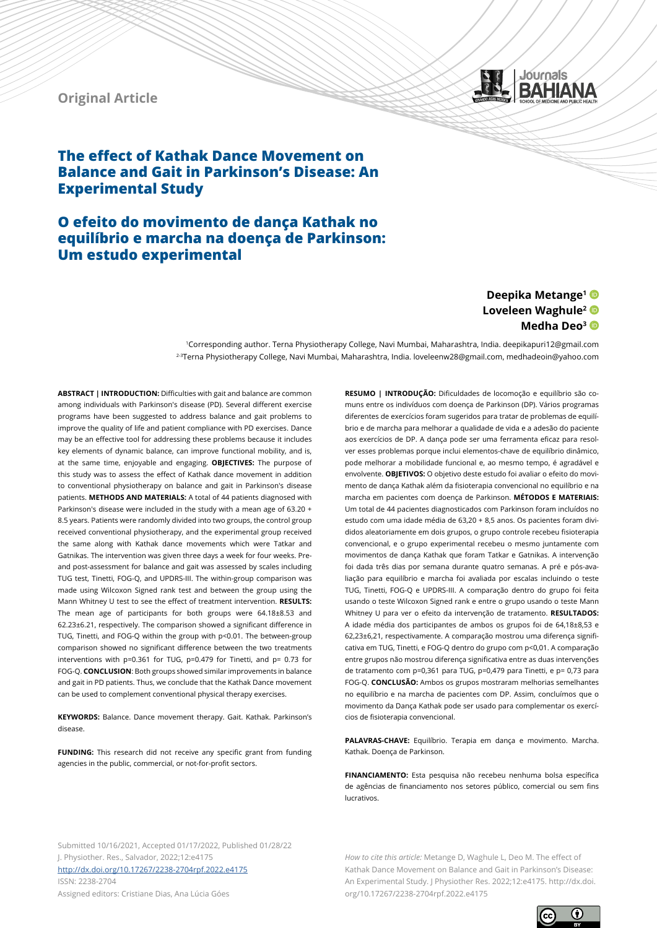# **Original Article**



# **The effect of Kathak Dance Movement on Balance and Gait in Parkinson's Disease: An Experimental Study**

# **O efeito do movimento de dança Kathak no equilíbrio e marcha na doença de Parkinson: Um estudo experimental**

# **Deepika Metange1 Loveleen Waghule2 Medha Deo3**

1Corresponding author. Terna Physiotherapy College, Navi Mumbai, Maharashtra, India. deepikapuri12@gmail.com 2-3Terna Physiotherapy College, Navi Mumbai, Maharashtra, India. loveleenw28@gmail.com, medhadeoin@yahoo.com

**ABSTRACT | INTRODUCTION:** Difficulties with gait and balance are common among individuals with Parkinson's disease (PD). Several different exercise programs have been suggested to address balance and gait problems to improve the quality of life and patient compliance with PD exercises. Dance may be an effective tool for addressing these problems because it includes key elements of dynamic balance, can improve functional mobility, and is, at the same time, enjoyable and engaging. **OBJECTIVES:** The purpose of this study was to assess the effect of Kathak dance movement in addition to conventional physiotherapy on balance and gait in Parkinson's disease patients. **METHODS AND MATERIALS:** A total of 44 patients diagnosed with Parkinson's disease were included in the study with a mean age of 63.20 + 8.5 years. Patients were randomly divided into two groups, the control group received conventional physiotherapy, and the experimental group received the same along with Kathak dance movements which were Tatkar and Gatnikas. The intervention was given three days a week for four weeks. Preand post-assessment for balance and gait was assessed by scales including TUG test, Tinetti, FOG-Q, and UPDRS-III. The within-group comparison was made using Wilcoxon Signed rank test and between the group using the Mann Whitney U test to see the effect of treatment intervention. **RESULTS:**  The mean age of participants for both groups were 64.18±8.53 and 62.23±6.21, respectively. The comparison showed a significant difference in TUG, Tinetti, and FOG-Q within the group with p<0.01. The between-group comparison showed no significant difference between the two treatments interventions with p=0.361 for TUG, p=0.479 for Tinetti, and p= 0.73 for FOG-Q. **CONCLUSION**: Both groups showed similar improvements in balance and gait in PD patients. Thus, we conclude that the Kathak Dance movement can be used to complement conventional physical therapy exercises.

**KEYWORDS:** Balance. Dance movement therapy. Gait. Kathak. Parkinson's disease.

**FUNDING:** This research did not receive any specific grant from funding agencies in the public, commercial, or not-for-profit sectors.

**RESUMO | INTRODUÇÃO:** Dificuldades de locomoção e equilíbrio são comuns entre os indivíduos com doença de Parkinson (DP). Vários programas diferentes de exercícios foram sugeridos para tratar de problemas de equilíbrio e de marcha para melhorar a qualidade de vida e a adesão do paciente aos exercícios de DP. A dança pode ser uma ferramenta eficaz para resolver esses problemas porque inclui elementos-chave de equilíbrio dinâmico, pode melhorar a mobilidade funcional e, ao mesmo tempo, é agradável e envolvente. **OBJETIVOS:** O objetivo deste estudo foi avaliar o efeito do movimento de dança Kathak além da fisioterapia convencional no equilíbrio e na marcha em pacientes com doença de Parkinson. **MÉTODOS E MATERIAIS:**  Um total de 44 pacientes diagnosticados com Parkinson foram incluídos no estudo com uma idade média de 63,20 + 8,5 anos. Os pacientes foram divididos aleatoriamente em dois grupos, o grupo controle recebeu fisioterapia convencional, e o grupo experimental recebeu o mesmo juntamente com movimentos de dança Kathak que foram Tatkar e Gatnikas. A intervenção foi dada três dias por semana durante quatro semanas. A pré e pós-avaliação para equilíbrio e marcha foi avaliada por escalas incluindo o teste TUG, Tinetti, FOG-Q e UPDRS-III. A comparação dentro do grupo foi feita usando o teste Wilcoxon Signed rank e entre o grupo usando o teste Mann Whitney U para ver o efeito da intervenção de tratamento. **RESULTADOS:** A idade média dos participantes de ambos os grupos foi de 64,18±8,53 e 62,23±6,21, respectivamente. A comparação mostrou uma diferença significativa em TUG, Tinetti, e FOG-Q dentro do grupo com p<0,01. A comparação entre grupos não mostrou diferença significativa entre as duas intervenções de tratamento com p=0,361 para TUG, p=0,479 para Tinetti, e p= 0,73 para FOG-Q. **CONCLUSÃO:** Ambos os grupos mostraram melhorias semelhantes no equilíbrio e na marcha de pacientes com DP. Assim, concluímos que o movimento da Dança Kathak pode ser usado para complementar os exercícios de fisioterapia convencional.

**PALAVRAS-CHAVE:** Equilíbrio. Terapia em dança e movimento. Marcha. Kathak. Doença de Parkinson.

**FINANCIAMENTO:** Esta pesquisa não recebeu nenhuma bolsa específica de agências de financiamento nos setores público, comercial ou sem fins lucrativos.

Submitted 10/16/2021, Accepted 01/17/2022, Published 01/28/22 J. Physiother. Res., Salvador, 2022;12:e4175 <http://dx.doi.org/10.17267/2238-2704rpf.2022.e4175> ISSN: 2238-2704

Assigned editors: Cristiane Dias, Ana Lúcia Góes

*How to cite this article:* Metange D, Waghule L, Deo M. The effect of Kathak Dance Movement on Balance and Gait in Parkinson's Disease: An Experimental Study. J Physiother Res. 2022;12:e4175. http://dx.doi. org/10.17267/2238-2704rpf.2022.e4175

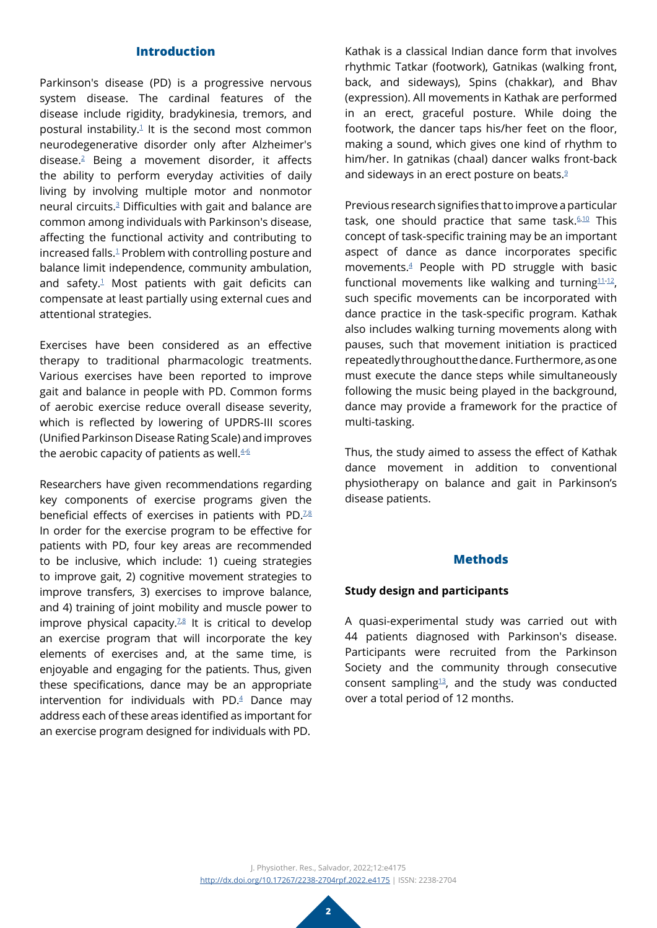# **Introduction**

Parkinson's disease (PD) is a progressive nervous system disease. The cardinal features of the disease include rigidity, bradykinesia, tremors, and postural instability. $1$  It is the second most common neurodegenerative disorder only after Alzheimer's disease.[2](#page-8-1) Being a movement disorder, it affects the ability to perform everyday activities of daily living by involving multiple motor and nonmotor neural circuits.[3](#page-8-2) Difficulties with gait and balance are common among individuals with Parkinson's disease, affecting the functional activity and contributing to increased falls.[1](#page-8-0) Problem with controlling posture and balance limit independence, community ambulation, and safety.<sup>1</sup> Most patients with gait deficits can compensate at least partially using external cues and attentional strategies.

Exercises have been considered as an effective therapy to traditional pharmacologic treatments. Various exercises have been reported to improve gait and balance in people with PD. Common forms of aerobic exercise reduce overall disease severity, which is reflected by lowering of UPDRS-III scores (Unified Parkinson Disease Rating Scale) and improves the aerobic capacity of patients as well. $4-6$  $4-6$ 

Researchers have given recommendations regarding key components of exercise programs given the beneficial effects of exercises in patients with PD. $728$  $728$ In order for the exercise program to be effective for patients with PD, four key areas are recommended to be inclusive, which include: 1) cueing strategies to improve gait, 2) cognitive movement strategies to improve transfers, 3) exercises to improve balance, and 4) training of joint mobility and muscle power to improve physical capacity. $728$  $728$  It is critical to develop an exercise program that will incorporate the key elements of exercises and, at the same time, is enjoyable and engaging for the patients. Thus, given these specifications, dance may be an appropriate intervention for individuals with PD.[4](#page-8-3) Dance may address each of these areas identified as important for an exercise program designed for individuals with PD.

Kathak is a classical Indian dance form that involves rhythmic Tatkar (footwork), Gatnikas (walking front, back, and sideways), Spins (chakkar), and Bhav (expression). All movements in Kathak are performed in an erect, graceful posture. While doing the footwork, the dancer taps his/her feet on the floor, making a sound, which gives one kind of rhythm to him/her. In gatnikas (chaal) dancer walks front-back and sideways in an erect posture on beats.<sup>[9](#page-9-3)</sup>

Previous research signifies that to improve a particular task, one should practice that same task.<sup>[6](#page-9-0),[10](#page-9-4)</sup> This concept of task-specific training may be an important aspect of dance as dance incorporates specific movements.[4](#page-8-3) People with PD struggle with basic functional movements like walking and turning $11-12$  $11-12$ , such specific movements can be incorporated with dance practice in the task-specific program. Kathak also includes walking turning movements along with pauses, such that movement initiation is practiced repeatedly throughout the dance. Furthermore, as one must execute the dance steps while simultaneously following the music being played in the background, dance may provide a framework for the practice of multi-tasking.

Thus, the study aimed to assess the effect of Kathak dance movement in addition to conventional physiotherapy on balance and gait in Parkinson's disease patients.

#### **Methods**

#### **Study design and participants**

A quasi-experimental study was carried out with 44 patients diagnosed with Parkinson's disease. Participants were recruited from the Parkinson Society and the community through consecutive consent sampling $13$ , and the study was conducted over a total period of 12 months.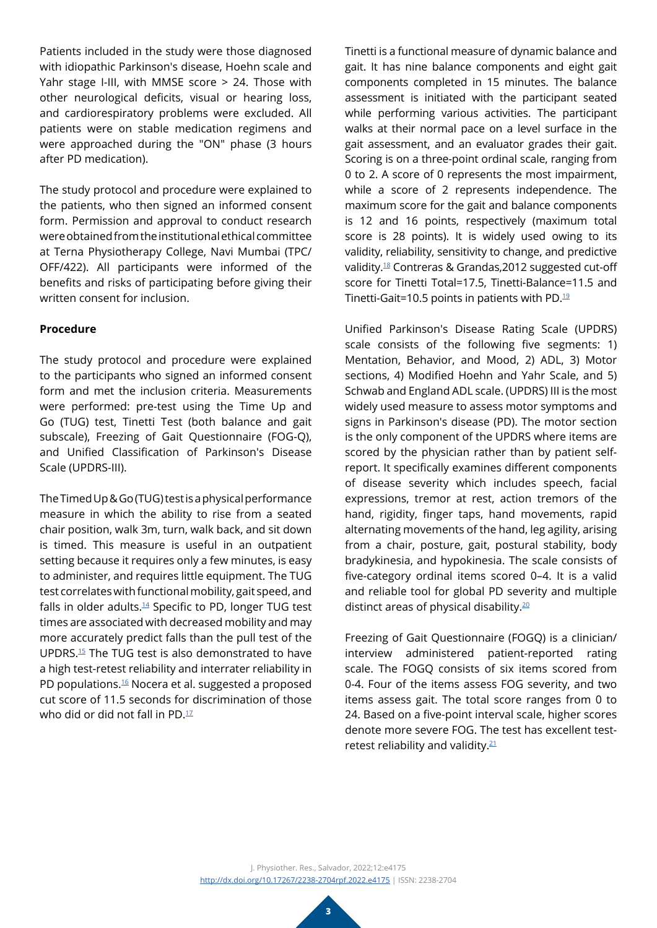Patients included in the study were those diagnosed with idiopathic Parkinson's disease, Hoehn scale and Yahr stage I-III, with MMSE score > 24. Those with other neurological deficits, visual or hearing loss, and cardiorespiratory problems were excluded. All patients were on stable medication regimens and were approached during the "ON" phase (3 hours after PD medication).

The study protocol and procedure were explained to the patients, who then signed an informed consent form. Permission and approval to conduct research were obtained from the institutional ethical committee at Terna Physiotherapy College, Navi Mumbai (TPC/ OFF/422). All participants were informed of the benefits and risks of participating before giving their written consent for inclusion.

## **Procedure**

The study protocol and procedure were explained to the participants who signed an informed consent form and met the inclusion criteria. Measurements were performed: pre-test using the Time Up and Go (TUG) test, Tinetti Test (both balance and gait subscale), Freezing of Gait Questionnaire (FOG-Q), and Unified Classification of Parkinson's Disease Scale (UPDRS-III).

The Timed Up & Go (TUG) test is a physical performance measure in which the ability to rise from a seated chair position, walk 3m, turn, walk back, and sit down is timed. This measure is useful in an outpatient setting because it requires only a few minutes, is easy to administer, and requires little equipment. The TUG test correlates with functional mobility, gait speed, and falls in older adults.<sup>[14](#page-9-8)</sup> Specific to PD, longer TUG test times are associated with decreased mobility and may more accurately predict falls than the pull test of the UPDRS.[15](#page-9-9) The TUG test is also demonstrated to have a high test-retest reliability and interrater reliability in PD populations.<sup>16</sup> Nocera et al. suggested a proposed cut score of 11.5 seconds for discrimination of those who did or did not fall in PD. $17$ 

Tinetti is a functional measure of dynamic balance and gait. It has nine balance components and eight gait components completed in 15 minutes. The balance assessment is initiated with the participant seated while performing various activities. The participant walks at their normal pace on a level surface in the gait assessment, and an evaluator grades their gait. Scoring is on a three-point ordinal scale, ranging from 0 to 2. A score of 0 represents the most impairment, while a score of 2 represents independence. The maximum score for the gait and balance components is 12 and 16 points, respectively (maximum total score is 28 points). It is widely used owing to its validity, reliability, sensitivity to change, and predictive validity[.18](#page-9-12) Contreras & Grandas,2012 suggested cut-off score for Tinetti Total=17.5, Tinetti-Balance=11.5 and Tinetti-Gait=10.5 points in patients with PD.[19](#page-9-13)

Unified Parkinson's Disease Rating Scale (UPDRS) scale consists of the following five segments: 1) Mentation, Behavior, and Mood, 2) ADL, 3) Motor sections, 4) Modified Hoehn and Yahr Scale, and 5) Schwab and England ADL scale. (UPDRS) III is the most widely used measure to assess motor symptoms and signs in Parkinson's disease (PD). The motor section is the only component of the UPDRS where items are scored by the physician rather than by patient selfreport. It specifically examines different components of disease severity which includes speech, facial expressions, tremor at rest, action tremors of the hand, rigidity, finger taps, hand movements, rapid alternating movements of the hand, leg agility, arising from a chair, posture, gait, postural stability, body bradykinesia, and hypokinesia. The scale consists of five-category ordinal items scored 0–4. It is a valid and reliable tool for global PD severity and multiple distinct areas of physical disability[.20](#page-9-14)

Freezing of Gait Questionnaire (FOGQ) is a clinician/ interview administered patient-reported rating scale. The FOGQ consists of six items scored from 0-4. Four of the items assess FOG severity, and two items assess gait. The total score ranges from 0 to 24. Based on a five-point interval scale, higher scores denote more severe FOG. The test has excellent testretest reliability and validity.[21](#page-9-15)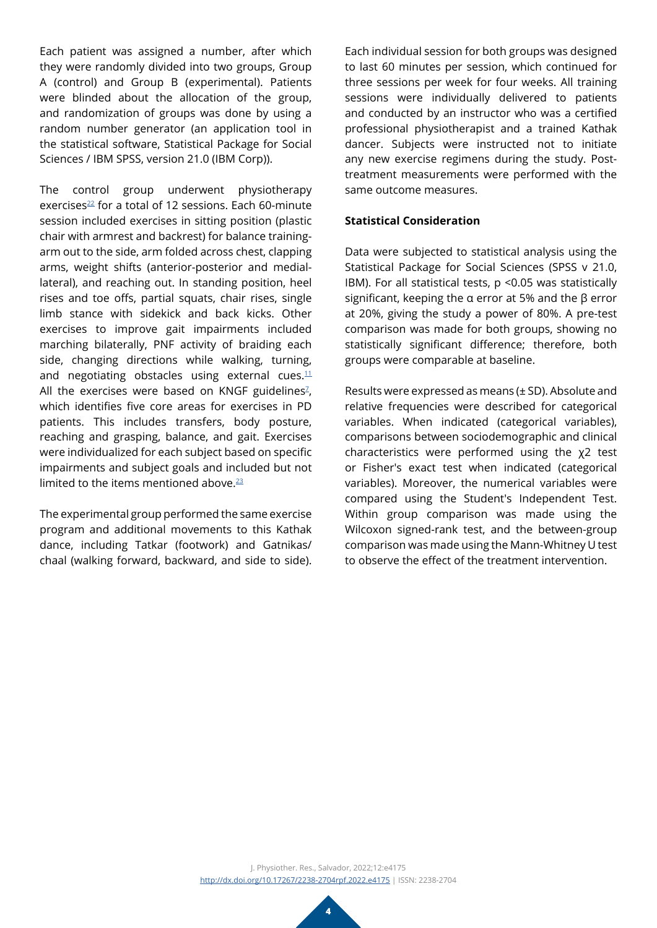Each patient was assigned a number, after which they were randomly divided into two groups, Group A (control) and Group B (experimental). Patients were blinded about the allocation of the group, and randomization of groups was done by using a random number generator (an application tool in the statistical software, Statistical Package for Social Sciences / IBM SPSS, version 21.0 (IBM Corp)).

The control group underwent physiotherapy exercises<sup>22</sup> for a total of 12 sessions. Each 60-minute session included exercises in sitting position (plastic chair with armrest and backrest) for balance trainingarm out to the side, arm folded across chest, clapping arms, weight shifts (anterior-posterior and mediallateral), and reaching out. In standing position, heel rises and toe offs, partial squats, chair rises, single limb stance with sidekick and back kicks. Other exercises to improve gait impairments included marching bilaterally, PNF activity of braiding each side, changing directions while walking, turning, and negotiating obstacles using external cues. $11$ All the exercises were based on KNGF guidelines $Z$ , which identifies five core areas for exercises in PD patients. This includes transfers, body posture, reaching and grasping, balance, and gait. Exercises were individualized for each subject based on specific impairments and subject goals and included but not limited to the items mentioned above.<sup>[23](#page-9-17)</sup>

The experimental group performed the same exercise program and additional movements to this Kathak dance, including Tatkar (footwork) and Gatnikas/ chaal (walking forward, backward, and side to side).

Each individual session for both groups was designed to last 60 minutes per session, which continued for three sessions per week for four weeks. All training sessions were individually delivered to patients and conducted by an instructor who was a certified professional physiotherapist and a trained Kathak dancer. Subjects were instructed not to initiate any new exercise regimens during the study. Posttreatment measurements were performed with the same outcome measures.

### **Statistical Consideration**

Data were subjected to statistical analysis using the Statistical Package for Social Sciences (SPSS v 21.0, IBM). For all statistical tests, p <0.05 was statistically significant, keeping the α error at 5% and the β error at 20%, giving the study a power of 80%. A pre-test comparison was made for both groups, showing no statistically significant difference; therefore, both groups were comparable at baseline.

Results were expressed as means (± SD). Absolute and relative frequencies were described for categorical variables. When indicated (categorical variables), comparisons between sociodemographic and clinical characteristics were performed using the χ2 test or Fisher's exact test when indicated (categorical variables). Moreover, the numerical variables were compared using the Student's Independent Test. Within group comparison was made using the Wilcoxon signed-rank test, and the between-group comparison was made using the Mann-Whitney U test to observe the effect of the treatment intervention.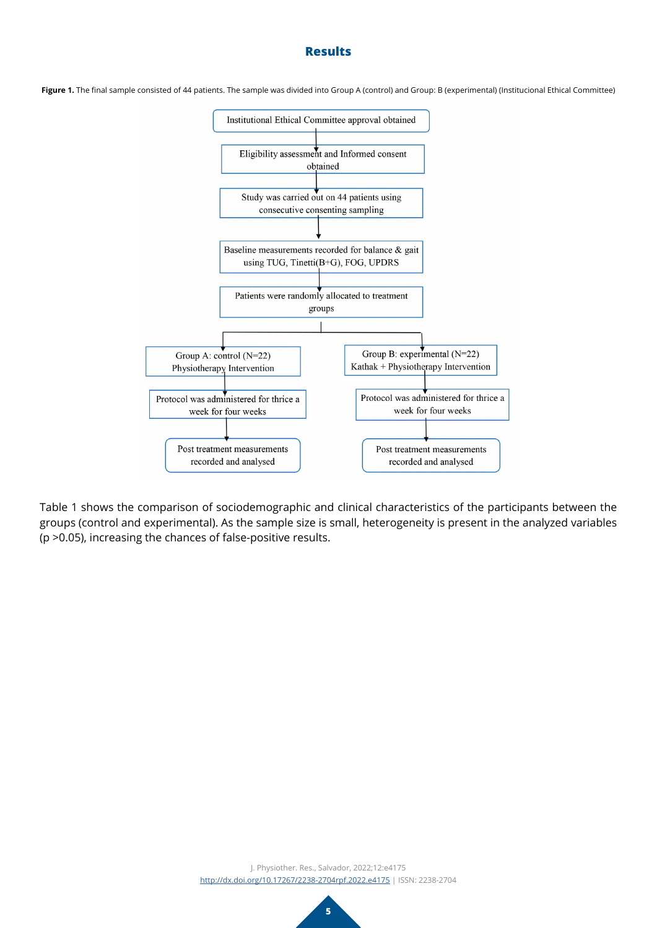## **Results**

Figure 1. The final sample consisted of 44 patients. The sample was divided into Group A (control) and Group: B (experimental) (Institucional Ethical Committee)



Table 1 shows the comparison of sociodemographic and clinical characteristics of the participants between the groups (control and experimental). As the sample size is small, heterogeneity is present in the analyzed variables (p >0.05), increasing the chances of false-positive results.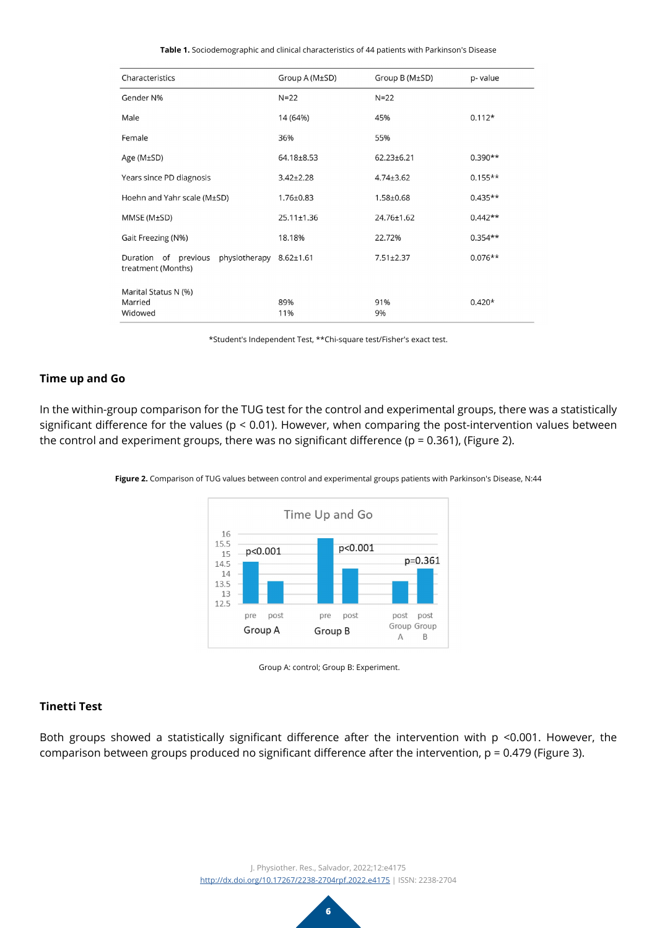**Table 1.** Sociodemographic and clinical characteristics of 44 patients with Parkinson's Disease

| Characteristics                                                       | Group A (M±SD)   | Group B (M±SD)   | p-value   |
|-----------------------------------------------------------------------|------------------|------------------|-----------|
| Gender N%                                                             | $N = 22$         | $N=22$           |           |
| Male                                                                  | 14 (64%)         | 45%              | $0.112*$  |
| Female                                                                | 36%              | 55%              |           |
| Age ( $M\pm SD$ )                                                     | 64.18±8.53       | $62.23 \pm 6.21$ | $0.390**$ |
| Years since PD diagnosis                                              | $3.42 \pm 2.28$  | $4.74 \pm 3.62$  | $0.155**$ |
| Hoehn and Yahr scale (M±SD)                                           | 1.76±0.83        | $1.58 \pm 0.68$  | $0.435**$ |
| MMSE (M±SD)                                                           | $25.11 \pm 1.36$ | 24.76±1.62       | $0.442**$ |
| Gait Freezing (N%)                                                    | 18.18%           | 22.72%           | $0.354**$ |
| Duration of previous<br>physiotherapy 8.62±1.61<br>treatment (Months) |                  | $7.51 \pm 2.37$  | $0.076**$ |
| Marital Status N (%)<br>Married<br>Widowed                            | 89%<br>11%       | 91%<br>9%        | $0.420*$  |

\*Student's Independent Test, \*\*Chi-square test/Fisher's exact test.

## **Time up and Go**

In the within-group comparison for the TUG test for the control and experimental groups, there was a statistically significant difference for the values (p < 0.01). However, when comparing the post-intervention values between the control and experiment groups, there was no significant difference ( $p = 0.361$ ), (Figure 2).





Group A: control; Group B: Experiment.

#### **Tinetti Test**

Both groups showed a statistically significant difference after the intervention with p <0.001. However, the comparison between groups produced no significant difference after the intervention, p = 0.479 (Figure 3).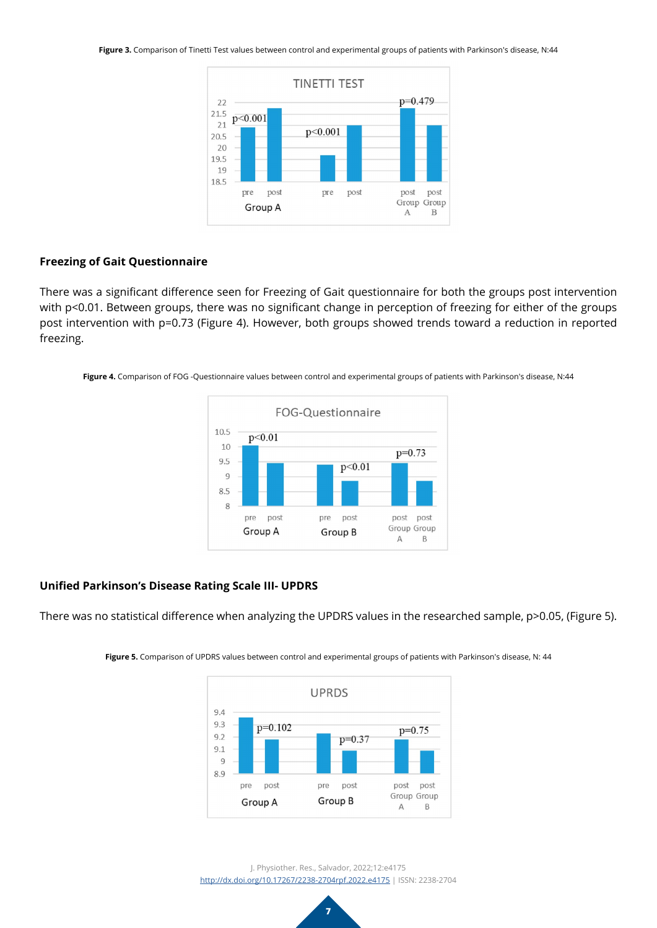**Figure 3.** Comparison of Tinetti Test values between control and experimental groups of patients with Parkinson's disease, N:44



## **Freezing of Gait Questionnaire**

There was a significant difference seen for Freezing of Gait questionnaire for both the groups post intervention with p<0.01. Between groups, there was no significant change in perception of freezing for either of the groups post intervention with p=0.73 (Figure 4). However, both groups showed trends toward a reduction in reported freezing.

**Figure 4.** Comparison of FOG -Questionnaire values between control and experimental groups of patients with Parkinson's disease, N:44



# **Unified Parkinson's Disease Rating Scale III- UPDRS**

There was no statistical difference when analyzing the UPDRS values in the researched sample, p>0.05, (Figure 5).



**Figure 5.** Comparison of UPDRS values between control and experimental groups of patients with Parkinson's disease, N: 44

J. Physiother. Res., Salvador, 2022;12:e4175 <http://dx.doi.org/10.17267/2238-2704rpf.2022.e4175> | ISSN: 2238-2704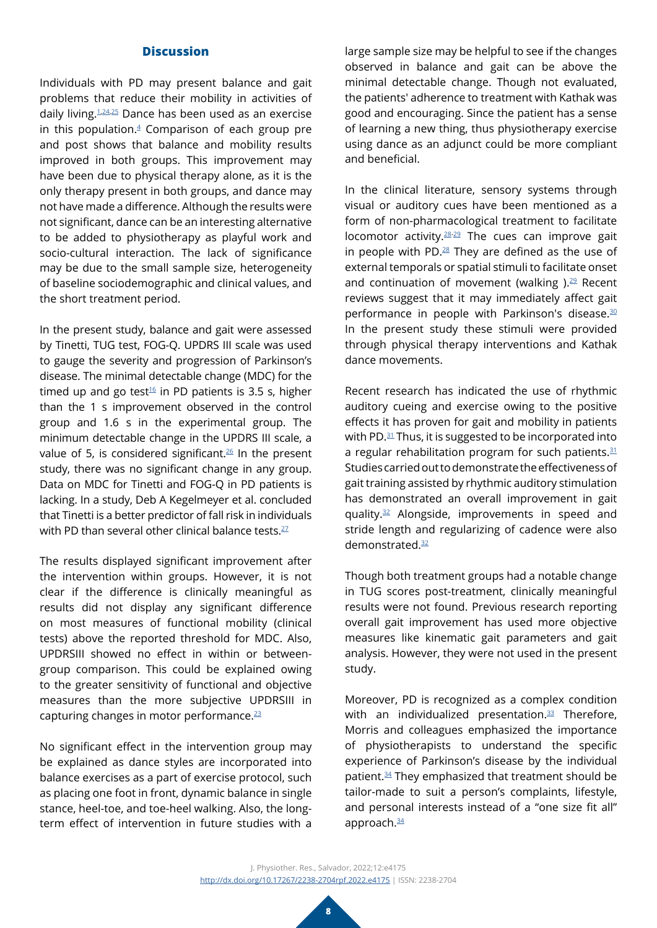# **Discussion**

Individuals with PD may present balance and gait problems that reduce their mobility in activities of daily living.[1](#page-8-0),[24](#page-9-18),[25](#page-9-19) Dance has been used as an exercise in this population. $4$  Comparison of each group pre and post shows that balance and mobility results improved in both groups. This improvement may have been due to physical therapy alone, as it is the only therapy present in both groups, and dance may not have made a difference. Although the results were not significant, dance can be an interesting alternative to be added to physiotherapy as playful work and socio-cultural interaction. The lack of significance may be due to the small sample size, heterogeneity of baseline sociodemographic and clinical values, and the short treatment period.

In the present study, balance and gait were assessed by Tinetti, TUG test, FOG-Q. UPDRS III scale was used to gauge the severity and progression of Parkinson's disease. The minimal detectable change (MDC) for the timed up and go test<sup>16</sup> in PD patients is 3.5 s, higher than the 1 s improvement observed in the control group and 1.6 s in the experimental group. The minimum detectable change in the UPDRS III scale, a value of 5, is considered significant.<sup>[26](#page-9-20)</sup> In the present study, there was no significant change in any group. Data on MDC for Tinetti and FOG-Q in PD patients is lacking. In a study, Deb A Kegelmeyer et al. concluded that Tinetti is a better predictor of fall risk in individuals with PD than several other clinical balance tests.<sup>27</sup>

The results displayed significant improvement after the intervention within groups. However, it is not clear if the difference is clinically meaningful as results did not display any significant difference on most measures of functional mobility (clinical tests) above the reported threshold for MDC. Also, UPDRSIII showed no effect in within or betweengroup comparison. This could be explained owing to the greater sensitivity of functional and objective measures than the more subjective UPDRSIII in capturing changes in motor performance. $23$ 

No significant effect in the intervention group may be explained as dance styles are incorporated into balance exercises as a part of exercise protocol, such as placing one foot in front, dynamic balance in single stance, heel-toe, and toe-heel walking. Also, the longterm effect of intervention in future studies with a

large sample size may be helpful to see if the changes observed in balance and gait can be above the minimal detectable change. Though not evaluated, the patients' adherence to treatment with Kathak was good and encouraging. Since the patient has a sense of learning a new thing, thus physiotherapy exercise using dance as an adjunct could be more compliant and beneficial.

In the clinical literature, sensory systems through visual or auditory cues have been mentioned as a form of non-pharmacological treatment to facilitate locomotor activity. $28-29$  The cues can improve gait in people with PD.[28](#page-10-0) They are defined as the use of external temporals or spatial stimuli to facilitate onset and continuation of movement (walking  $.29$  Recent reviews suggest that it may immediately affect gait performance in people with Parkinson's disease.<sup>[30](#page-10-2)</sup> In the present study these stimuli were provided through physical therapy interventions and Kathak dance movements.

Recent research has indicated the use of rhythmic auditory cueing and exercise owing to the positive effects it has proven for gait and mobility in patients with PD.<sup>[31](#page-10-3)</sup> Thus, it is suggested to be incorporated into a regular rehabilitation program for such patients. $31$ Studies carried out to demonstrate the effectiveness of gait training assisted by rhythmic auditory stimulation has demonstrated an overall improvement in gait quality.[32](#page-10-4) Alongside, improvements in speed and stride length and regularizing of cadence were also demonstrated.[32](#page-10-4)

Though both treatment groups had a notable change in TUG scores post-treatment, clinically meaningful results were not found. Previous research reporting overall gait improvement has used more objective measures like kinematic gait parameters and gait analysis. However, they were not used in the present study.

Moreover, PD is recognized as a complex condition with an individualized presentation. $33$  Therefore, Morris and colleagues emphasized the importance of physiotherapists to understand the specific experience of Parkinson's disease by the individual patient.<sup>34</sup> They emphasized that treatment should be tailor-made to suit a person's complaints, lifestyle, and personal interests instead of a "one size fit all" approach.<sup>[34](#page-10-6)</sup>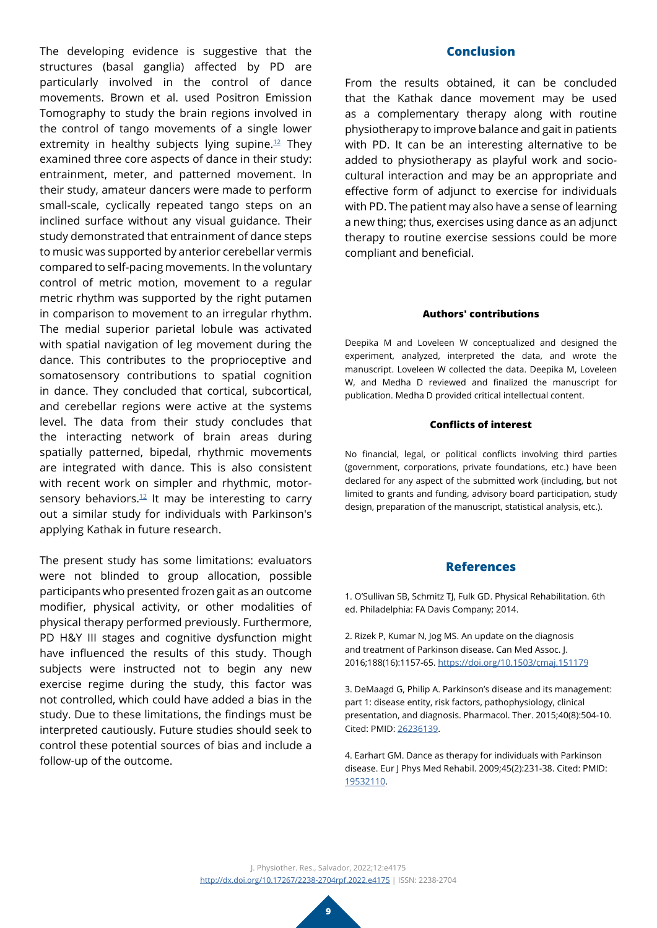The developing evidence is suggestive that the structures (basal ganglia) affected by PD are particularly involved in the control of dance movements. Brown et al. used Positron Emission Tomography to study the brain regions involved in the control of tango movements of a single lower extremity in healthy subjects lying supine. $12$  They examined three core aspects of dance in their study: entrainment, meter, and patterned movement. In their study, amateur dancers were made to perform small-scale, cyclically repeated tango steps on an inclined surface without any visual guidance. Their study demonstrated that entrainment of dance steps to music was supported by anterior cerebellar vermis compared to self-pacing movements. In the voluntary control of metric motion, movement to a regular metric rhythm was supported by the right putamen in comparison to movement to an irregular rhythm. The medial superior parietal lobule was activated with spatial navigation of leg movement during the dance. This contributes to the proprioceptive and somatosensory contributions to spatial cognition in dance. They concluded that cortical, subcortical, and cerebellar regions were active at the systems level. The data from their study concludes that the interacting network of brain areas during spatially patterned, bipedal, rhythmic movements are integrated with dance. This is also consistent with recent work on simpler and rhythmic, motorsensory behaviors. $12$  It may be interesting to carry out a similar study for individuals with Parkinson's applying Kathak in future research.

The present study has some limitations: evaluators were not blinded to group allocation, possible participants who presented frozen gait as an outcome modifier, physical activity, or other modalities of physical therapy performed previously. Furthermore, PD H&Y III stages and cognitive dysfunction might have influenced the results of this study. Though subjects were instructed not to begin any new exercise regime during the study, this factor was not controlled, which could have added a bias in the study. Due to these limitations, the findings must be interpreted cautiously. Future studies should seek to control these potential sources of bias and include a follow-up of the outcome.

## **Conclusion**

From the results obtained, it can be concluded that the Kathak dance movement may be used as a complementary therapy along with routine physiotherapy to improve balance and gait in patients with PD. It can be an interesting alternative to be added to physiotherapy as playful work and sociocultural interaction and may be an appropriate and effective form of adjunct to exercise for individuals with PD. The patient may also have a sense of learning a new thing; thus, exercises using dance as an adjunct therapy to routine exercise sessions could be more compliant and beneficial.

#### **Authors' contributions**

Deepika M and Loveleen W conceptualized and designed the experiment, analyzed, interpreted the data, and wrote the manuscript. Loveleen W collected the data. Deepika M, Loveleen W, and Medha D reviewed and finalized the manuscript for publication. Medha D provided critical intellectual content.

#### **Conflicts of interest**

No financial, legal, or political conflicts involving third parties (government, corporations, private foundations, etc.) have been declared for any aspect of the submitted work (including, but not limited to grants and funding, advisory board participation, study design, preparation of the manuscript, statistical analysis, etc.).

#### **References**

<span id="page-8-0"></span>1. O'Sullivan SB, Schmitz TJ, Fulk GD. Physical Rehabilitation. 6th ed. Philadelphia: FA Davis Company; 2014.

<span id="page-8-1"></span>2. Rizek P, Kumar N, Jog MS. An update on the diagnosis and treatment of Parkinson disease. Can Med Assoc. J. 2016;188(16):1157-65.<https://doi.org/10.1503/cmaj.151179>

<span id="page-8-2"></span>3. DeMaagd G, Philip A. Parkinson's disease and its management: part 1: disease entity, risk factors, pathophysiology, clinical presentation, and diagnosis. Pharmacol. Ther. 2015;40(8):504-10. Cited: PMID: [26236139](https://pubmed.ncbi.nlm.nih.gov/26236139/).

<span id="page-8-3"></span>4. Earhart GM. Dance as therapy for individuals with Parkinson disease. Eur J Phys Med Rehabil. 2009;45(2):231-38. Cited: PMID: [19532110](https://pubmed.ncbi.nlm.nih.gov/19532110/).

J. Physiother. Res., Salvador, 2022;12:e4175 <http://dx.doi.org/10.17267/2238-2704rpf.2022.e4175> | ISSN: 2238-2704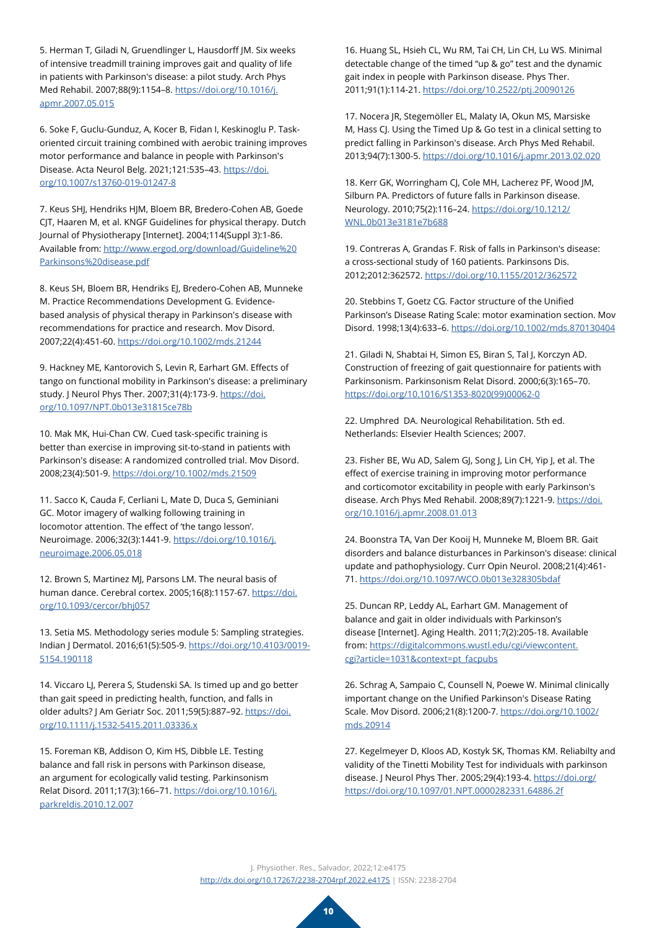5. Herman T, Giladi N, Gruendlinger L, Hausdorff JM. Six weeks of intensive treadmill training improves gait and quality of life in patients with Parkinson's disease: a pilot study. Arch Phys Med Rehabil. 2007;88(9):1154–8. [https://doi.org/10.1016/j.](https://doi.org/10.1016/j.apmr.2007.05.015) [apmr.2007.05.015](https://doi.org/10.1016/j.apmr.2007.05.015)

<span id="page-9-0"></span>6. Soke F, Guclu-Gunduz, A, Kocer B, Fidan I, Keskinoglu P. Taskoriented circuit training combined with aerobic training improves motor performance and balance in people with Parkinson′s Disease. Acta Neurol Belg. 2021;121:535–43. [https://doi.](https://doi.org/10.1007/s13760-019-01247-8) [org/10.1007/s13760-019-01247-8](https://doi.org/10.1007/s13760-019-01247-8)

<span id="page-9-1"></span>7. Keus SHJ, Hendriks HJM, Bloem BR, Bredero-Cohen AB, Goede CJT, Haaren M, et al. KNGF Guidelines for physical therapy. Dutch Journal of Physiotherapy [Internet]. 2004;114(Suppl 3):1-86. Available from: [http://www.ergod.org/download/Guideline%20](http://www.ergod.org/download/Guideline%20Parkinsons%20disease.pdf) [Parkinsons%20disease.pdf](http://www.ergod.org/download/Guideline%20Parkinsons%20disease.pdf)

<span id="page-9-2"></span>8. Keus SH, Bloem BR, Hendriks EJ, Bredero-Cohen AB, Munneke M. Practice Recommendations Development G. Evidencebased analysis of physical therapy in Parkinson's disease with recommendations for practice and research. Mov Disord. 2007;22(4):451-60. <https://doi.org/10.1002/mds.21244>

<span id="page-9-3"></span>9. Hackney ME, Kantorovich S, Levin R, Earhart GM. Effects of tango on functional mobility in Parkinson's disease: a preliminary study. J Neurol Phys Ther. 2007;31(4):173-9. [https://doi.](https://doi.org/10.1097/NPT.0b013e31815ce78b) [org/10.1097/NPT.0b013e31815ce78b](https://doi.org/10.1097/NPT.0b013e31815ce78b)

<span id="page-9-4"></span>10. Mak MK, Hui-Chan CW. Cued task-specific training is better than exercise in improving sit-to-stand in patients with Parkinson's disease: A randomized controlled trial. Mov Disord. 2008;23(4):501-9.<https://doi.org/10.1002/mds.21509>

<span id="page-9-5"></span>11. Sacco K, Cauda F, Cerliani L, Mate D, Duca S, Geminiani GC. Motor imagery of walking following training in locomotor attention. The effect of 'the tango lesson'. Neuroimage. 2006;32(3):1441-9. [https://doi.org/10.1016/j.](https://doi.org/10.1016/j.neuroimage.2006.05.018) [neuroimage.2006.05.018](https://doi.org/10.1016/j.neuroimage.2006.05.018)

<span id="page-9-6"></span>12. Brown S, Martinez MJ, Parsons LM. The neural basis of human dance. Cerebral cortex. 2005;16(8):1157-67. [https://doi.](https://doi.org/10.1093/cercor/bhj057) [org/10.1093/cercor/bhj057](https://doi.org/10.1093/cercor/bhj057)

<span id="page-9-7"></span>13. Setia MS. Methodology series module 5: Sampling strategies. Indian J Dermatol. 2016;61(5):505-9. [https://doi.org/10.4103/0019-](https://doi.org/10.4103/0019-5154.190118) [5154.190118](https://doi.org/10.4103/0019-5154.190118)

<span id="page-9-8"></span>14. Viccaro LJ, Perera S, Studenski SA. Is timed up and go better than gait speed in predicting health, function, and falls in older adults? J Am Geriatr Soc. 2011;59(5):887–92. [https://doi.](https://doi.org/10.1111/j.1532-5415.2011.03336.x) [org/10.1111/j.1532-5415.2011.03336.x](https://doi.org/10.1111/j.1532-5415.2011.03336.x)

<span id="page-9-9"></span>15. Foreman KB, Addison O, Kim HS, Dibble LE. Testing balance and fall risk in persons with Parkinson disease, an argument for ecologically valid testing. Parkinsonism Relat Disord. 2011;17(3):166–71. [https://doi.org/10.1016/j.](https://doi.org/10.1016/j.parkreldis.2010.12.007) [parkreldis.2010.12.007](https://doi.org/10.1016/j.parkreldis.2010.12.007)

<span id="page-9-10"></span>16. Huang SL, Hsieh CL, Wu RM, Tai CH, Lin CH, Lu WS. Minimal detectable change of the timed "up & go" test and the dynamic gait index in people with Parkinson disease. Phys Ther. 2011;91(1):114-21.<https://doi.org/10.2522/ptj.20090126>

<span id="page-9-11"></span>17. Nocera JR, Stegemöller EL, Malaty IA, Okun MS, Marsiske M, Hass CJ. Using the Timed Up & Go test in a clinical setting to predict falling in Parkinson's disease. Arch Phys Med Rehabil. 2013;94(7):1300-5.<https://doi.org/10.1016/j.apmr.2013.02.020>

<span id="page-9-12"></span>18. Kerr GK, Worringham CJ, Cole MH, Lacherez PF, Wood JM, Silburn PA. Predictors of future falls in Parkinson disease. Neurology. 2010;75(2):116–24. [https://doi.org/10.1212/](https://doi.org/10.1212/WNL.0b013e3181e7b688) [WNL.0b013e3181e7b688](https://doi.org/10.1212/WNL.0b013e3181e7b688)

<span id="page-9-13"></span>19. Contreras A, Grandas F. Risk of falls in Parkinson's disease: a cross-sectional study of 160 patients. Parkinsons Dis. 2012;2012:362572.<https://doi.org/10.1155/2012/362572>

<span id="page-9-14"></span>20. Stebbins T, Goetz CG. Factor structure of the Unified Parkinson's Disease Rating Scale: motor examination section. Mov Disord. 1998;13(4):633–6.<https://doi.org/10.1002/mds.870130404>

<span id="page-9-15"></span>21. Giladi N, Shabtai H, Simon ES, Biran S, Tal J, Korczyn AD. Construction of freezing of gait questionnaire for patients with Parkinsonism. Parkinsonism Relat Disord. 2000;6(3):165–70. [https://doi.org/10.1016/S1353-8020\(99\)00062-0](https://doi.org/10.1016/S1353-8020(99)00062-0)

<span id="page-9-16"></span>22. Umphred DA. Neurological Rehabilitation. 5th ed. Netherlands: Elsevier Health Sciences; 2007.

<span id="page-9-17"></span>23. Fisher BE, Wu AD, Salem GJ, Song J, Lin CH, Yip J, et al. The effect of exercise training in improving motor performance and corticomotor excitability in people with early Parkinson's disease. Arch Phys Med Rehabil. 2008;89(7):1221-9. [https://doi.](https://doi.org/10.1016/j.apmr.2008.01.013) [org/10.1016/j.apmr.2008.01.013](https://doi.org/10.1016/j.apmr.2008.01.013)

<span id="page-9-18"></span>24. Boonstra TA, Van Der Kooij H, Munneke M, Bloem BR. Gait disorders and balance disturbances in Parkinson's disease: clinical update and pathophysiology. Curr Opin Neurol. 2008;21(4):461- 71.<https://doi.org/10.1097/WCO.0b013e328305bdaf>

<span id="page-9-19"></span>25. Duncan RP, Leddy AL, Earhart GM. Management of balance and gait in older individuals with Parkinson's disease [Internet]. Aging Health. 2011;7(2):205-18. Available from: [https://digitalcommons.wustl.edu/cgi/viewcontent.](https://digitalcommons.wustl.edu/cgi/viewcontent.cgi?article=1031&context=pt_facpubs ) [cgi?article=1031&context=pt\\_facpubs](https://digitalcommons.wustl.edu/cgi/viewcontent.cgi?article=1031&context=pt_facpubs )

<span id="page-9-20"></span>26. Schrag A, Sampaio C, Counsell N, Poewe W. Minimal clinically important change on the Unified Parkinson's Disease Rating Scale. Mov Disord. 2006;21(8):1200-7. [https://doi.org/10.1002/](https://doi.org/10.1002/mds.20914) [mds.20914](https://doi.org/10.1002/mds.20914)

<span id="page-9-21"></span>27. Kegelmeyer D, Kloos AD, Kostyk SK, Thomas KM. Reliabilty and validity of the Tinetti Mobility Test for individuals with parkinson disease. J Neurol Phys Ther. 2005;29(4):193-4. [https://doi.org/](https://doi.org/https://doi.org/10.1097/01.NPT.0000282331.64886.2f) [https://doi.org/10.1097/01.NPT.0000282331.64886.2f](https://doi.org/https://doi.org/10.1097/01.NPT.0000282331.64886.2f)

J. Physiother. Res., Salvador, 2022;12:e4175 <http://dx.doi.org/10.17267/2238-2704rpf.2022.e4175> | ISSN: 2238-2704